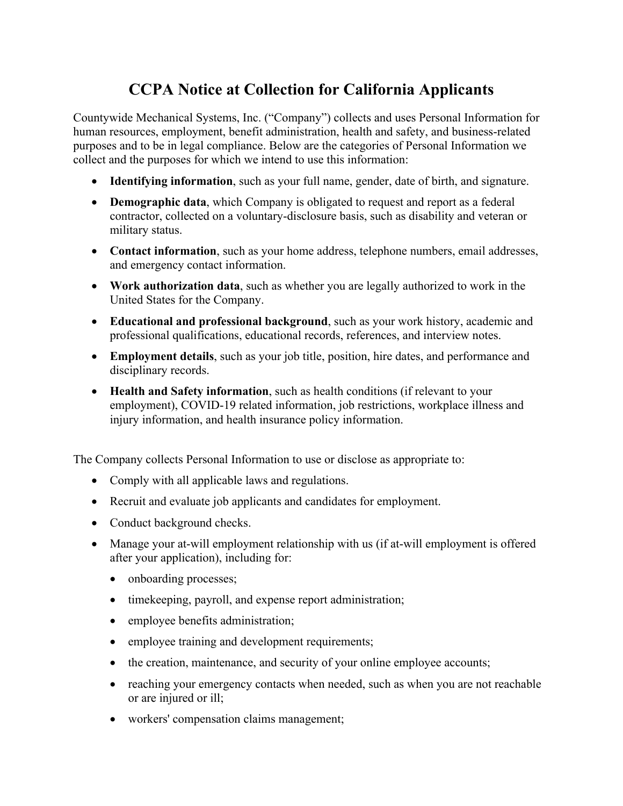## **CCPA Notice at Collection for California Applicants**

Countywide Mechanical Systems, Inc. ("Company") collects and uses Personal Information for human resources, employment, benefit administration, health and safety, and business-related purposes and to be in legal compliance. Below are the categories of Personal Information we collect and the purposes for which we intend to use this information:

- **Identifying information**, such as your full name, gender, date of birth, and signature.
- **Demographic data**, which Company is obligated to request and report as a federal contractor, collected on a voluntary-disclosure basis, such as disability and veteran or military status.
- **Contact information**, such as your home address, telephone numbers, email addresses, and emergency contact information.
- **Work authorization data**, such as whether you are legally authorized to work in the United States for the Company.
- **Educational and professional background**, such as your work history, academic and professional qualifications, educational records, references, and interview notes.
- **Employment details**, such as your job title, position, hire dates, and performance and disciplinary records.
- **Health and Safety information**, such as health conditions (if relevant to your employment), COVID-19 related information, job restrictions, workplace illness and injury information, and health insurance policy information.

The Company collects Personal Information to use or disclose as appropriate to:

- Comply with all applicable laws and regulations.
- Recruit and evaluate job applicants and candidates for employment.
- Conduct background checks.
- Manage your at-will employment relationship with us (if at-will employment is offered after your application), including for:
	- onboarding processes;
	- timekeeping, payroll, and expense report administration;
	- employee benefits administration;
	- employee training and development requirements;
	- the creation, maintenance, and security of your online employee accounts;
	- reaching your emergency contacts when needed, such as when you are not reachable or are injured or ill;
	- workers' compensation claims management;